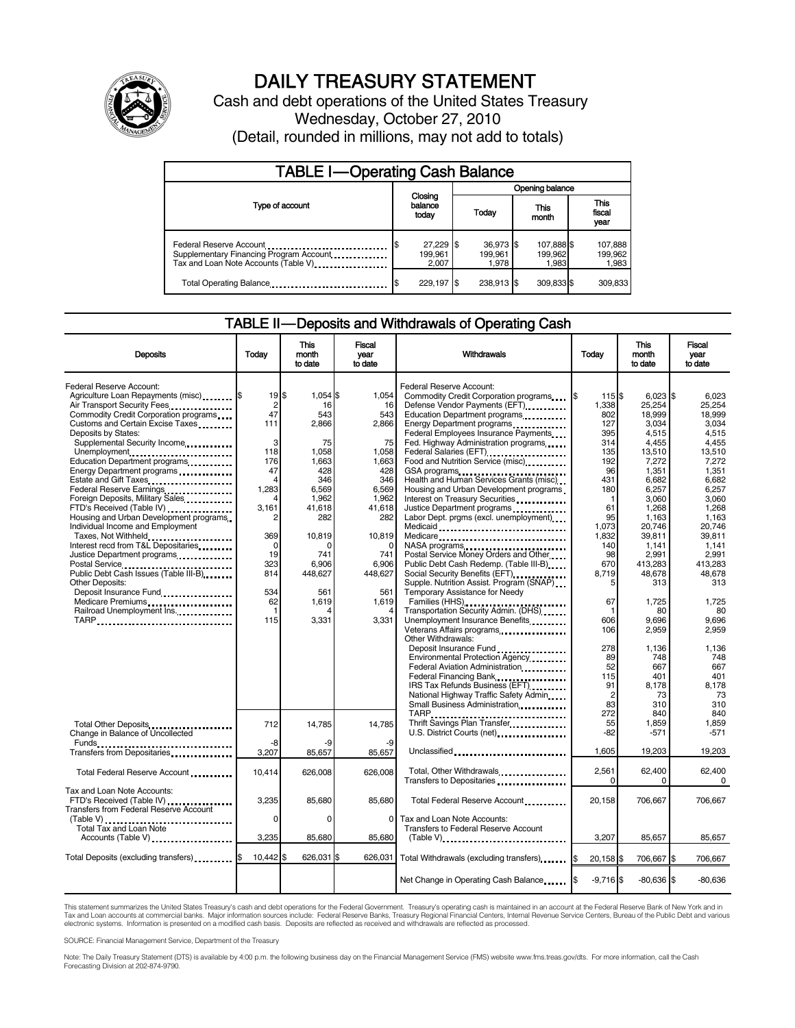

# DAILY TREASURY STATEMENT

Cash and debt operations of the United States Treasury Wednesday, October 27, 2010 (Detail, rounded in millions, may not add to totals)

| <b>TABLE I-Operating Cash Balance</b>                                                                      |                                     |                               |                                |                               |  |  |
|------------------------------------------------------------------------------------------------------------|-------------------------------------|-------------------------------|--------------------------------|-------------------------------|--|--|
|                                                                                                            | Opening balance                     |                               |                                |                               |  |  |
| Type of account                                                                                            | Closing<br>balance<br>today         | Today                         | This<br>month                  | <b>This</b><br>fiscal<br>year |  |  |
| Federal Reserve Account<br>Supplementary Financing Program Account<br>Tax and Loan Note Accounts (Table V) | 27,229 \$<br>\$<br>199.961<br>2,007 | 36,973 \$<br>199.961<br>1.978 | 107,888 \$<br>199,962<br>1,983 | 107,888<br>199,962<br>1,983   |  |  |
| Total Operating Balance                                                                                    | 229.197 \$                          | 238.913 \$                    | 309.833 \$                     | 309.833                       |  |  |

#### TABLE II — Deposits and Withdrawals of Operating Cash

| <b>Deposits</b>                                                                                                                                                                                                                                                                                                                                                                                                                                                                                                                                                                                                                                                                                                                                          | Today                                                                                                                                            | <b>This</b><br>month<br>to date                                                                                                                                              | <b>Fiscal</b><br>year<br>to date                                                                                                                                               | Withdrawals                                                                                                                                                                                                                                                                                                                                                                                                                                                                                                                                                                                                                                                                                                                                                                                                                                                                                                                                                                                                                           | Today                                                                                                                                                                                                   | <b>This</b><br>month<br>to date                                                                                                                                                                                                                                              | Fiscal<br>year<br>to date                                                                                                                                                                                                                                               |
|----------------------------------------------------------------------------------------------------------------------------------------------------------------------------------------------------------------------------------------------------------------------------------------------------------------------------------------------------------------------------------------------------------------------------------------------------------------------------------------------------------------------------------------------------------------------------------------------------------------------------------------------------------------------------------------------------------------------------------------------------------|--------------------------------------------------------------------------------------------------------------------------------------------------|------------------------------------------------------------------------------------------------------------------------------------------------------------------------------|--------------------------------------------------------------------------------------------------------------------------------------------------------------------------------|---------------------------------------------------------------------------------------------------------------------------------------------------------------------------------------------------------------------------------------------------------------------------------------------------------------------------------------------------------------------------------------------------------------------------------------------------------------------------------------------------------------------------------------------------------------------------------------------------------------------------------------------------------------------------------------------------------------------------------------------------------------------------------------------------------------------------------------------------------------------------------------------------------------------------------------------------------------------------------------------------------------------------------------|---------------------------------------------------------------------------------------------------------------------------------------------------------------------------------------------------------|------------------------------------------------------------------------------------------------------------------------------------------------------------------------------------------------------------------------------------------------------------------------------|-------------------------------------------------------------------------------------------------------------------------------------------------------------------------------------------------------------------------------------------------------------------------|
| <b>Federal Reserve Account:</b><br>Agriculture Loan Repayments (misc) [65]<br>Air Transport Security Fees<br>Commodity Credit Corporation programs<br>Customs and Certain Excise Taxes<br>Deposits by States:<br>Supplemental Security Income<br>Unemployment<br>Education Department programs<br>Energy Department programs<br>Estate and Gift Taxes<br>Federal Reserve Earnings<br>Foreign Deposits, Military Sales<br>Housing and Urban Development programs<br>Individual Income and Employment<br>Taxes, Not Withheld<br>Interest recd from T&L Depositaries<br>Justice Department programs<br>Public Debt Cash Issues (Table III-B)<br><b>Other Deposits:</b><br>Deposit Insurance Fund<br>Medicare Premiums<br>Railroad Unemployment Ins.<br>TARP | 19S<br>$\overline{c}$<br>47<br>111<br>3<br>118<br>176<br>47<br>Δ<br>1,283<br>3,161<br>2<br>369<br>0<br>19<br>323<br>814<br>534<br>62<br>1<br>115 | $1.054$ \$<br>16<br>543<br>2,866<br>75<br>1.058<br>1.663<br>428<br>346<br>6.569<br>1.962<br>41,618<br>282<br>10,819<br>n<br>741<br>6.906<br>448.627<br>561<br>1,619<br>3.331 | 1,054<br>16<br>543<br>2,866<br>75<br>1,058<br>1.663<br>428<br>346<br>6,569<br>1.962<br>41,618<br>282<br>10,819<br>$\Omega$<br>741<br>6.906<br>448.627<br>561<br>1.619<br>3.331 | Federal Reserve Account:<br>Commodity Credit Corporation programs<br>Defense Vendor Payments (EFT)<br>Education Department programs<br>Energy Department programs<br>Federal Employees Insurance Payments<br>Fed. Highway Administration programs<br>Federal Salaries (EFT)<br>1999 - The Marine Salaries (EFT)<br>Food and Nutrition Service (misc)<br>GSA programs<br>Health and Human Services Grants (misc)<br>Housing and Urban Development programs<br>Interest on Treasury Securities<br>Justice Department programs<br><br>Labor Dept. prgms (excl. unemployment)<br>Medicare<br>Postal Service Money Orders and Other<br>Public Debt Cash Redemp. (Table III-B)<br>Supple. Nutrition Assist. Program (SNAP)<br>Temporary Assistance for Needy<br>Families (HHS)<br>Transportation Security Admin. (DHS)<br>Unemployment Insurance Benefits<br>Other Withdrawals:<br>Deposit Insurance Fund<br>Environmental Protection Agency<br>Federal Aviation Administration<br>Federal Financing Bank<br>IRS Tax Refunds Business (EFT) | 115 \$<br>1,338<br>802<br>127<br>395<br>314<br>135<br>192<br>96<br>431<br>180<br>-1<br>61<br>95<br>1.073<br>1,832<br>140<br>98<br>670<br>8,719<br>5<br>67<br>606<br>106<br>278<br>89<br>52<br>115<br>91 | $6,023$ \$<br>25,254<br>18,999<br>3,034<br>4,515<br>4,455<br>13,510<br>7,272<br>1,351<br>6,682<br>6,257<br>3.060<br>1,268<br>1,163<br>20,746<br>39,811<br>1,141<br>2,991<br>413,283<br>48.678<br>313<br>1,725<br>80<br>9.696<br>2,959<br>1,136<br>748<br>667<br>401<br>8.178 | 6,023<br>25,254<br>18.999<br>3,034<br>4,515<br>4,455<br>13.510<br>7.272<br>1,351<br>6,682<br>6.257<br>3.060<br>1,268<br>1,163<br>20.746<br>39.811<br>1,141<br>2,991<br>413.283<br>48.678<br>313<br>1,725<br>80<br>9.696<br>2,959<br>1,136<br>748<br>667<br>401<br>8.178 |
| Total Other Deposits<br>Change in Balance of Uncollected                                                                                                                                                                                                                                                                                                                                                                                                                                                                                                                                                                                                                                                                                                 | 712                                                                                                                                              | 14,785                                                                                                                                                                       | 14,785                                                                                                                                                                         | National Highway Traffic Safety Admin<br>Small Business Administration<br>TARP<br>Thrift Savings Plan Transfer<br>U.S. District Courts (net)                                                                                                                                                                                                                                                                                                                                                                                                                                                                                                                                                                                                                                                                                                                                                                                                                                                                                          | $\overline{2}$<br>83<br>272<br>55<br>$-82$                                                                                                                                                              | 73<br>310<br>840<br>1,859<br>-571                                                                                                                                                                                                                                            | 73<br>310<br>840<br>1.859<br>$-571$                                                                                                                                                                                                                                     |
| Transfers from Depositaries                                                                                                                                                                                                                                                                                                                                                                                                                                                                                                                                                                                                                                                                                                                              | -8<br>3,207                                                                                                                                      | -9<br>85,657                                                                                                                                                                 | -9<br>85,657                                                                                                                                                                   | Unclassified                                                                                                                                                                                                                                                                                                                                                                                                                                                                                                                                                                                                                                                                                                                                                                                                                                                                                                                                                                                                                          | 1,605                                                                                                                                                                                                   | 19,203                                                                                                                                                                                                                                                                       | 19,203                                                                                                                                                                                                                                                                  |
| Total Federal Reserve Account                                                                                                                                                                                                                                                                                                                                                                                                                                                                                                                                                                                                                                                                                                                            | 10,414                                                                                                                                           | 626,008                                                                                                                                                                      | 626,008                                                                                                                                                                        | Total, Other Withdrawals<br>Transfers to Depositaries                                                                                                                                                                                                                                                                                                                                                                                                                                                                                                                                                                                                                                                                                                                                                                                                                                                                                                                                                                                 | 2,561<br>∩                                                                                                                                                                                              | 62,400<br>0                                                                                                                                                                                                                                                                  | 62,400<br>$\Omega$                                                                                                                                                                                                                                                      |
| Tax and Loan Note Accounts:<br>FTD's Received (Table IV)<br>Transfers from Federal Reserve Account                                                                                                                                                                                                                                                                                                                                                                                                                                                                                                                                                                                                                                                       | 3,235                                                                                                                                            | 85,680                                                                                                                                                                       | 85,680                                                                                                                                                                         | Total Federal Reserve Account                                                                                                                                                                                                                                                                                                                                                                                                                                                                                                                                                                                                                                                                                                                                                                                                                                                                                                                                                                                                         | 20,158                                                                                                                                                                                                  | 706,667                                                                                                                                                                                                                                                                      | 706,667                                                                                                                                                                                                                                                                 |
| (Table V)<br>Total Tax and Loan Note<br>Accounts (Table V)                                                                                                                                                                                                                                                                                                                                                                                                                                                                                                                                                                                                                                                                                               | $\Omega$<br>3,235                                                                                                                                | $\Omega$<br>85,680                                                                                                                                                           | 0<br>85,680                                                                                                                                                                    | Tax and Loan Note Accounts:<br><b>Transfers to Federal Reserve Account</b><br>$(Table V)$ ,                                                                                                                                                                                                                                                                                                                                                                                                                                                                                                                                                                                                                                                                                                                                                                                                                                                                                                                                           | 3,207                                                                                                                                                                                                   | 85,657                                                                                                                                                                                                                                                                       | 85,657                                                                                                                                                                                                                                                                  |
| Total Deposits (excluding transfers) [100]                                                                                                                                                                                                                                                                                                                                                                                                                                                                                                                                                                                                                                                                                                               | 10,442                                                                                                                                           | 626,031                                                                                                                                                                      | 626,031                                                                                                                                                                        | Total Withdrawals (excluding transfers)                                                                                                                                                                                                                                                                                                                                                                                                                                                                                                                                                                                                                                                                                                                                                                                                                                                                                                                                                                                               | 20,158 \$<br>I\$                                                                                                                                                                                        | 706,667 \$                                                                                                                                                                                                                                                                   | 706,667                                                                                                                                                                                                                                                                 |
|                                                                                                                                                                                                                                                                                                                                                                                                                                                                                                                                                                                                                                                                                                                                                          |                                                                                                                                                  |                                                                                                                                                                              |                                                                                                                                                                                | Net Change in Operating Cash Balance                                                                                                                                                                                                                                                                                                                                                                                                                                                                                                                                                                                                                                                                                                                                                                                                                                                                                                                                                                                                  | $-9,716$ \$                                                                                                                                                                                             | $-80,636$ \$                                                                                                                                                                                                                                                                 | $-80,636$                                                                                                                                                                                                                                                               |

This statement summarizes the United States Treasury's cash and debt operations for the Federal Government. Treasury's operating cash is maintained in an account at the Federal Reserve Bank of New York and in<br>Tax and Loan electronic systems. Information is presented on a modified cash basis. Deposits are reflected as received and withdrawals are reflected as processed.

SOURCE: Financial Management Service, Department of the Treasury

Note: The Daily Treasury Statement (DTS) is available by 4:00 p.m. the following business day on the Financial Management Service (FMS) website www.fms.treas.gov/dts. For more information, call the Cash Forecasting Division at 202-874-9790.